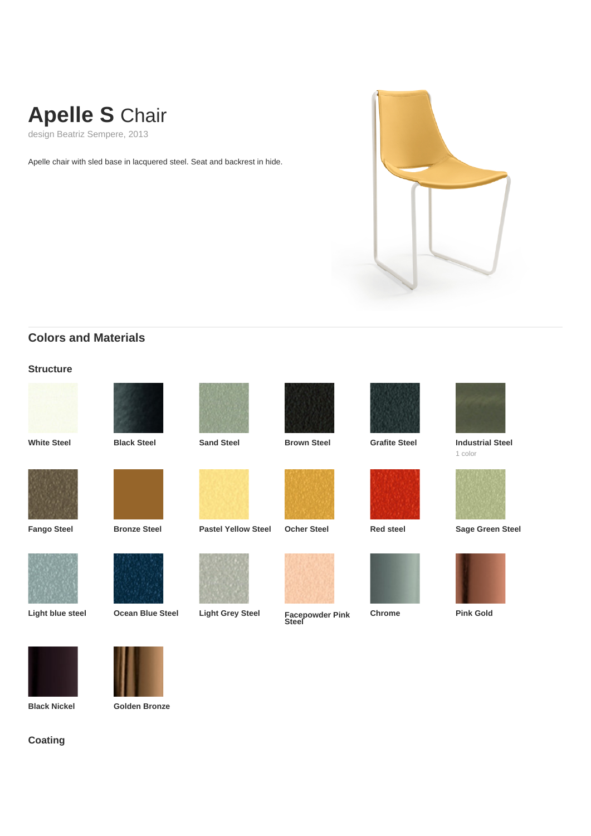# **Apelle S** Chair

design Beatriz Sempere, 2013

Apelle chair with sled base in lacquered steel. Seat and backrest in hide.



## **Colors and Materials**

#### **Structure**









**White Steel Black Steel Sand Steel Brown Steel Grafite Steel Industrial Steel**











**Light blue steel Ocean Blue Steel Light Grey Steel Facepowder Pink Steel**









1 color



**Fango Steel Bronze Steel Pastel Yellow Steel Ocher Steel Red steel Sage Green Steel**



**Chrome Pink Gold**





**Black Nickel Golden Bronze**

### **Coating**